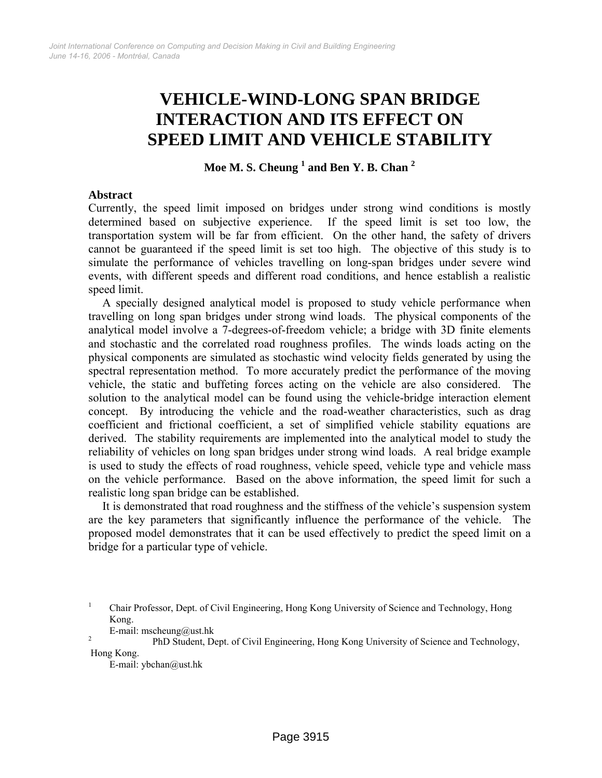# **VEHICLE-WIND-LONG SPAN BRIDGE INTERACTION AND ITS EFFECT ON SPEED LIMIT AND VEHICLE STABILITY**

**Moe M. S. Cheung 1 and Ben Y. B. Chan 2**

## **Abstract**

Currently, the speed limit imposed on bridges under strong wind conditions is mostly determined based on subjective experience. If the speed limit is set too low, the transportation system will be far from efficient. On the other hand, the safety of drivers cannot be guaranteed if the speed limit is set too high. The objective of this study is to simulate the performance of vehicles travelling on long-span bridges under severe wind events, with different speeds and different road conditions, and hence establish a realistic speed limit.

A specially designed analytical model is proposed to study vehicle performance when travelling on long span bridges under strong wind loads. The physical components of the analytical model involve a 7-degrees-of-freedom vehicle; a bridge with 3D finite elements and stochastic and the correlated road roughness profiles. The winds loads acting on the physical components are simulated as stochastic wind velocity fields generated by using the spectral representation method. To more accurately predict the performance of the moving vehicle, the static and buffeting forces acting on the vehicle are also considered. The solution to the analytical model can be found using the vehicle-bridge interaction element concept. By introducing the vehicle and the road-weather characteristics, such as drag coefficient and frictional coefficient, a set of simplified vehicle stability equations are derived. The stability requirements are implemented into the analytical model to study the reliability of vehicles on long span bridges under strong wind loads. A real bridge example is used to study the effects of road roughness, vehicle speed, vehicle type and vehicle mass on the vehicle performance. Based on the above information, the speed limit for such a realistic long span bridge can be established.

It is demonstrated that road roughness and the stiffness of the vehicle's suspension system are the key parameters that significantly influence the performance of the vehicle. The proposed model demonstrates that it can be used effectively to predict the speed limit on a bridge for a particular type of vehicle.

E-mail: mscheung@ust.hk

<sup>1</sup> Chair Professor, Dept. of Civil Engineering, Hong Kong University of Science and Technology, Hong Kong.

PhD Student, Dept. of Civil Engineering, Hong Kong University of Science and Technology, Hong Kong.

E-mail: ybchan@ust.hk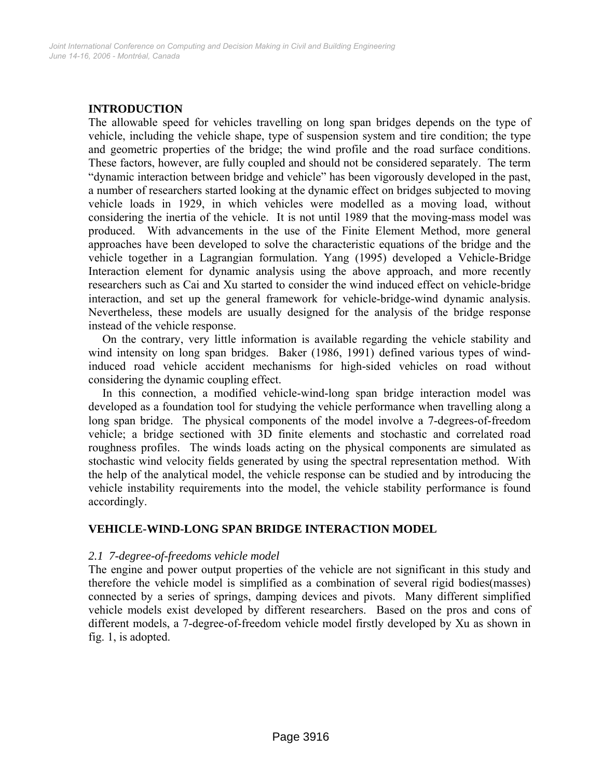# **INTRODUCTION**

The allowable speed for vehicles travelling on long span bridges depends on the type of vehicle, including the vehicle shape, type of suspension system and tire condition; the type and geometric properties of the bridge; the wind profile and the road surface conditions. These factors, however, are fully coupled and should not be considered separately. The term "dynamic interaction between bridge and vehicle" has been vigorously developed in the past, a number of researchers started looking at the dynamic effect on bridges subjected to moving vehicle loads in 1929, in which vehicles were modelled as a moving load, without considering the inertia of the vehicle. It is not until 1989 that the moving-mass model was produced. With advancements in the use of the Finite Element Method, more general approaches have been developed to solve the characteristic equations of the bridge and the vehicle together in a Lagrangian formulation. Yang (1995) developed a Vehicle-Bridge Interaction element for dynamic analysis using the above approach, and more recently researchers such as Cai and Xu started to consider the wind induced effect on vehicle-bridge interaction, and set up the general framework for vehicle-bridge-wind dynamic analysis. Nevertheless, these models are usually designed for the analysis of the bridge response instead of the vehicle response.

On the contrary, very little information is available regarding the vehicle stability and wind intensity on long span bridges. Baker (1986, 1991) defined various types of windinduced road vehicle accident mechanisms for high-sided vehicles on road without considering the dynamic coupling effect.

In this connection, a modified vehicle-wind-long span bridge interaction model was developed as a foundation tool for studying the vehicle performance when travelling along a long span bridge. The physical components of the model involve a 7-degrees-of-freedom vehicle; a bridge sectioned with 3D finite elements and stochastic and correlated road roughness profiles. The winds loads acting on the physical components are simulated as stochastic wind velocity fields generated by using the spectral representation method. With the help of the analytical model, the vehicle response can be studied and by introducing the vehicle instability requirements into the model, the vehicle stability performance is found accordingly.

# **VEHICLE-WIND-LONG SPAN BRIDGE INTERACTION MODEL**

## *2.1 7-degree-of-freedoms vehicle model*

The engine and power output properties of the vehicle are not significant in this study and therefore the vehicle model is simplified as a combination of several rigid bodies(masses) connected by a series of springs, damping devices and pivots. Many different simplified vehicle models exist developed by different researchers. Based on the pros and cons of different models, a 7-degree-of-freedom vehicle model firstly developed by Xu as shown in fig. 1, is adopted.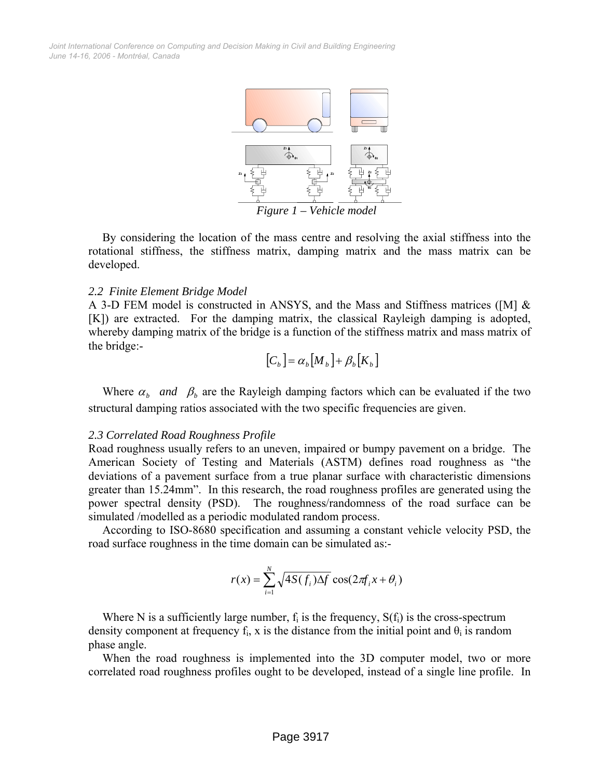*June 14-16, 2006 - Montréal, Canada Joint International Conference on Computing and Decision Making in Civil and Building Engineering*



*Figure 1 – Vehicle model* 

By considering the location of the mass centre and resolving the axial stiffness into the rotational stiffness, the stiffness matrix, damping matrix and the mass matrix can be developed.

#### *2.2 Finite Element Bridge Model*

A 3-D FEM model is constructed in ANSYS, and the Mass and Stiffness matrices ([M] & [K]) are extracted. For the damping matrix, the classical Rayleigh damping is adopted, whereby damping matrix of the bridge is a function of the stiffness matrix and mass matrix of the bridge:-

$$
[C_b] = \alpha_b [M_b] + \beta_b [K_b]
$$

Where  $\alpha_b$  *and*  $\beta_b$  are the Rayleigh damping factors which can be evaluated if the two structural damping ratios associated with the two specific frequencies are given.

#### *2.3 Correlated Road Roughness Profile*

Road roughness usually refers to an uneven, impaired or bumpy pavement on a bridge. The American Society of Testing and Materials (ASTM) defines road roughness as "the deviations of a pavement surface from a true planar surface with characteristic dimensions greater than 15.24mm". In this research, the road roughness profiles are generated using the power spectral density (PSD). The roughness/randomness of the road surface can be simulated /modelled as a periodic modulated random process.

According to ISO-8680 specification and assuming a constant vehicle velocity PSD, the road surface roughness in the time domain can be simulated as:-

$$
r(x) = \sum_{i=1}^{N} \sqrt{4S(f_i)\Delta f} \cos(2\pi f_i x + \theta_i)
$$

Where N is a sufficiently large number,  $f_i$  is the frequency,  $S(f_i)$  is the cross-spectrum density component at frequency  $f_i$ , x is the distance from the initial point and  $\theta_i$  is random phase angle.

When the road roughness is implemented into the 3D computer model, two or more correlated road roughness profiles ought to be developed, instead of a single line profile. In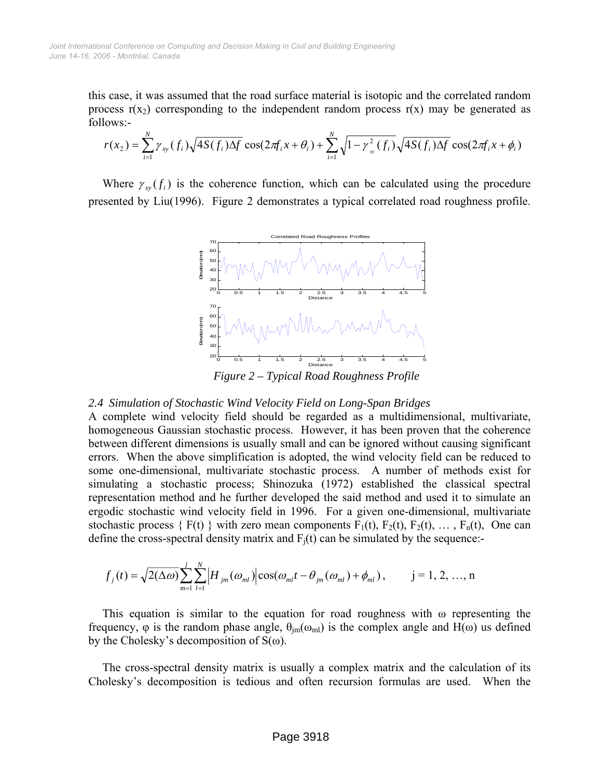this case, it was assumed that the road surface material is isotopic and the correlated random process  $r(x_2)$  corresponding to the independent random process  $r(x)$  may be generated as follows:-

$$
r(x_2) = \sum_{i=1}^N \gamma_{xy}(f_i) \sqrt{4S(f_i)\Delta f} \cos(2\pi f_i x + \theta_i) + \sum_{i=1}^N \sqrt{1 - \gamma_{xy}^2(f_i)} \sqrt{4S(f_i)\Delta f} \cos(2\pi f_i x + \phi_i)
$$

Where  $\gamma_{w}(f_i)$  is the coherence function, which can be calculated using the procedure presented by Liu(1996). Figure 2 demonstrates a typical correlated road roughness profile.



*Figure 2 – Typical Road Roughness Profile* 

## *2.4 Simulation of Stochastic Wind Velocity Field on Long-Span Bridges*

A complete wind velocity field should be regarded as a multidimensional, multivariate, homogeneous Gaussian stochastic process. However, it has been proven that the coherence between different dimensions is usually small and can be ignored without causing significant errors. When the above simplification is adopted, the wind velocity field can be reduced to some one-dimensional, multivariate stochastic process. A number of methods exist for simulating a stochastic process; Shinozuka (1972) established the classical spectral representation method and he further developed the said method and used it to simulate an ergodic stochastic wind velocity field in 1996. For a given one-dimensional, multivariate stochastic process  $\{F(t)\}\$  with zero mean components  $F_1(t)$ ,  $F_2(t)$ ,  $F_2(t)$ , ...,  $F_n(t)$ , One can define the cross-spectral density matrix and  $F_i(t)$  can be simulated by the sequence:-

$$
f_j(t) = \sqrt{2(\Delta \omega)} \sum_{m=1}^j \sum_{l=1}^N \left| H_{jm}(\omega_{ml}) \right| \cos(\omega_{ml} t - \theta_{jm}(\omega_{ml}) + \phi_{ml}), \qquad j = 1, 2, ..., n
$$

This equation is similar to the equation for road roughness with  $\omega$  representing the frequency,  $\varphi$  is the random phase angle,  $\theta_{im}(\omega_{ml})$  is the complex angle and H( $\omega$ ) us defined by the Cholesky's decomposition of  $S(\omega)$ .

The cross-spectral density matrix is usually a complex matrix and the calculation of its Cholesky's decomposition is tedious and often recursion formulas are used. When the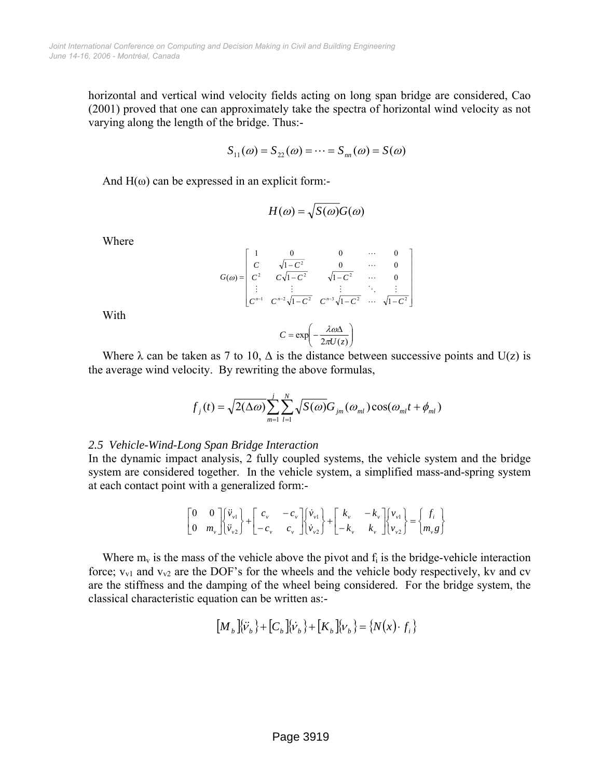horizontal and vertical wind velocity fields acting on long span bridge are considered, Cao (2001) proved that one can approximately take the spectra of horizontal wind velocity as not varying along the length of the bridge. Thus:-

$$
S_{11}(\omega) = S_{22}(\omega) = \cdots = S_{nn}(\omega) = S(\omega)
$$

And  $H(\omega)$  can be expressed in an explicit form:-

$$
H(\omega) = \sqrt{S(\omega)}G(\omega)
$$

Where

$$
G(\omega) = \begin{bmatrix} 1 & 0 & 0 & \cdots & 0 \\ C & \sqrt{1 - C^2} & 0 & \cdots & 0 \\ C^2 & C\sqrt{1 - C^2} & \sqrt{1 - C^2} & \cdots & 0 \\ \vdots & \vdots & \vdots & \ddots & \vdots \\ C^{n-1} & C^{n-2}\sqrt{1 - C^2} & C^{n-3}\sqrt{1 - C^2} & \cdots & \sqrt{1 - C^2} \end{bmatrix}
$$

With

$$
C = \exp\left(-\frac{\lambda \omega \Delta}{2\pi U(z)}\right)
$$

Where  $\lambda$  can be taken as 7 to 10,  $\Delta$  is the distance between successive points and U(z) is the average wind velocity. By rewriting the above formulas,

$$
f_j(t) = \sqrt{2(\Delta \omega)} \sum_{m=1}^j \sum_{l=1}^N \sqrt{S(\omega)} G_{jm}(\omega_{ml}) \cos(\omega_{ml} t + \phi_{ml})
$$

#### *2.5 Vehicle-Wind-Long Span Bridge Interaction*

In the dynamic impact analysis, 2 fully coupled systems, the vehicle system and the bridge system are considered together. In the vehicle system, a simplified mass-and-spring system at each contact point with a generalized form:-

$$
\begin{bmatrix} 0 & 0 \ 0 & m_v \end{bmatrix} \begin{bmatrix} \ddot{v}_{v1} \\ \ddot{v}_{v2} \end{bmatrix} + \begin{bmatrix} c_v & -c_v \\ -c_v & c_v \end{bmatrix} \begin{bmatrix} \dot{v}_{v1} \\ \dot{v}_{v2} \end{bmatrix} + \begin{bmatrix} k_v & -k_v \\ -k_v & k_v \end{bmatrix} \begin{bmatrix} v_{v1} \\ v_{v2} \end{bmatrix} = \begin{Bmatrix} f_i \\ m_v g \end{Bmatrix}
$$

Where  $m_v$  is the mass of the vehicle above the pivot and  $f_i$  is the bridge-vehicle interaction force;  $v_{v1}$  and  $v_{v2}$  are the DOF's for the wheels and the vehicle body respectively, kv and cv are the stiffness and the damping of the wheel being considered. For the bridge system, the classical characteristic equation can be written as:-

$$
\left[ M_b \left[ \hat{V}_b \right] + \left[ C_b \left[ \hat{V}_b \right] + \left[ K_b \left[ \left[ V_b \right] \right] = \left\{ N(x) \cdot f_i \right\} \right] \right]
$$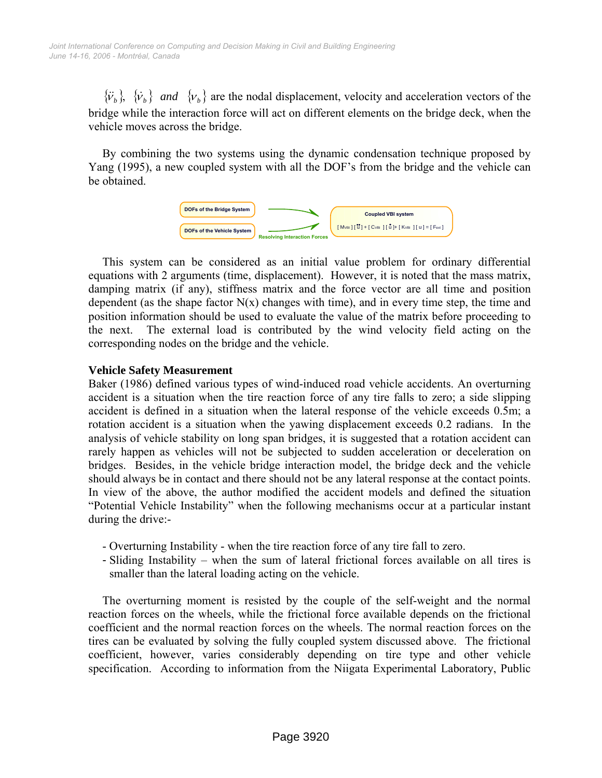${\tilde{\nu}_b}$ ,  ${\tilde{\nu}_b}$  *and*  ${\nu_b}$  are the nodal displacement, velocity and acceleration vectors of the bridge while the interaction force will act on different elements on the bridge deck, when the vehicle moves across the bridge.

By combining the two systems using the dynamic condensation technique proposed by Yang (1995), a new coupled system with all the DOF's from the bridge and the vehicle can be obtained.



This system can be considered as an initial value problem for ordinary differential equations with 2 arguments (time, displacement). However, it is noted that the mass matrix, damping matrix (if any), stiffness matrix and the force vector are all time and position dependent (as the shape factor  $N(x)$  changes with time), and in every time step, the time and position information should be used to evaluate the value of the matrix before proceeding to the next. The external load is contributed by the wind velocity field acting on the corresponding nodes on the bridge and the vehicle.

# **Vehicle Safety Measurement**

Baker (1986) defined various types of wind-induced road vehicle accidents. An overturning accident is a situation when the tire reaction force of any tire falls to zero; a side slipping accident is defined in a situation when the lateral response of the vehicle exceeds 0.5m; a rotation accident is a situation when the yawing displacement exceeds 0.2 radians. In the analysis of vehicle stability on long span bridges, it is suggested that a rotation accident can rarely happen as vehicles will not be subjected to sudden acceleration or deceleration on bridges. Besides, in the vehicle bridge interaction model, the bridge deck and the vehicle should always be in contact and there should not be any lateral response at the contact points. In view of the above, the author modified the accident models and defined the situation "Potential Vehicle Instability" when the following mechanisms occur at a particular instant during the drive:-

- Overturning Instability when the tire reaction force of any tire fall to zero.
- Sliding Instability when the sum of lateral frictional forces available on all tires is smaller than the lateral loading acting on the vehicle.

The overturning moment is resisted by the couple of the self-weight and the normal reaction forces on the wheels, while the frictional force available depends on the frictional coefficient and the normal reaction forces on the wheels. The normal reaction forces on the tires can be evaluated by solving the fully coupled system discussed above. The frictional coefficient, however, varies considerably depending on tire type and other vehicle specification. According to information from the Niigata Experimental Laboratory, Public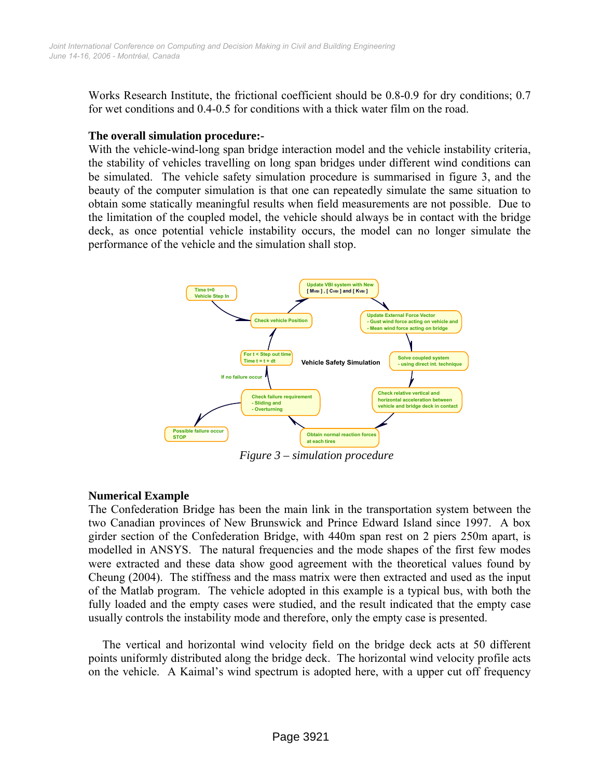Works Research Institute, the frictional coefficient should be 0.8-0.9 for dry conditions; 0.7 for wet conditions and 0.4-0.5 for conditions with a thick water film on the road.

# **The overall simulation procedure:-**

With the vehicle-wind-long span bridge interaction model and the vehicle instability criteria, the stability of vehicles travelling on long span bridges under different wind conditions can be simulated. The vehicle safety simulation procedure is summarised in figure 3, and the beauty of the computer simulation is that one can repeatedly simulate the same situation to obtain some statically meaningful results when field measurements are not possible. Due to the limitation of the coupled model, the vehicle should always be in contact with the bridge deck, as once potential vehicle instability occurs, the model can no longer simulate the performance of the vehicle and the simulation shall stop.



*Figure 3 – simulation procedure* 

# **Numerical Example**

The Confederation Bridge has been the main link in the transportation system between the two Canadian provinces of New Brunswick and Prince Edward Island since 1997. A box girder section of the Confederation Bridge, with 440m span rest on 2 piers 250m apart, is modelled in ANSYS. The natural frequencies and the mode shapes of the first few modes were extracted and these data show good agreement with the theoretical values found by Cheung (2004). The stiffness and the mass matrix were then extracted and used as the input of the Matlab program. The vehicle adopted in this example is a typical bus, with both the fully loaded and the empty cases were studied, and the result indicated that the empty case usually controls the instability mode and therefore, only the empty case is presented.

The vertical and horizontal wind velocity field on the bridge deck acts at 50 different points uniformly distributed along the bridge deck. The horizontal wind velocity profile acts on the vehicle. A Kaimal's wind spectrum is adopted here, with a upper cut off frequency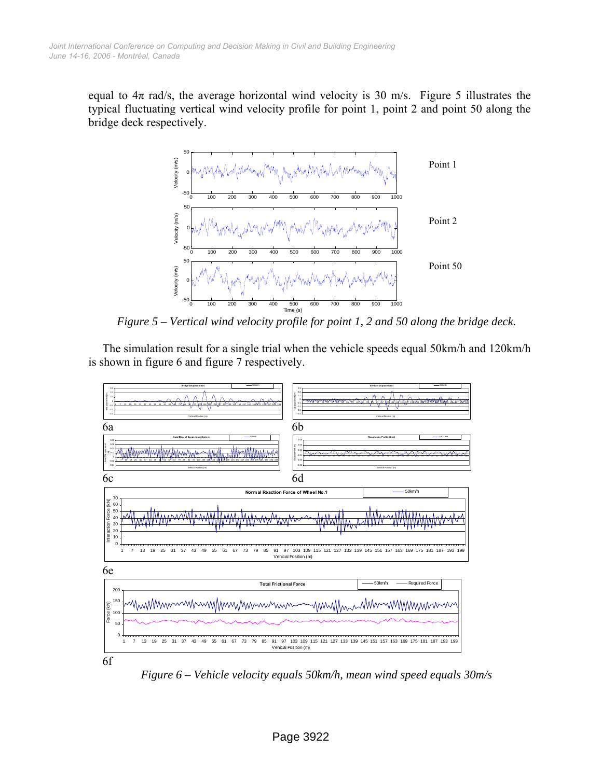equal to  $4\pi$  rad/s, the average horizontal wind velocity is 30 m/s. Figure 5 illustrates the typical fluctuating vertical wind velocity profile for point 1, point 2 and point 50 along the bridge deck respectively.



*Figure 5 – Vertical wind velocity profile for point 1, 2 and 50 along the bridge deck.* 

The simulation result for a single trial when the vehicle speeds equal 50km/h and 120km/h is shown in figure 6 and figure 7 respectively.



*Figure 6 – Vehicle velocity equals 50km/h, mean wind speed equals 30m/s*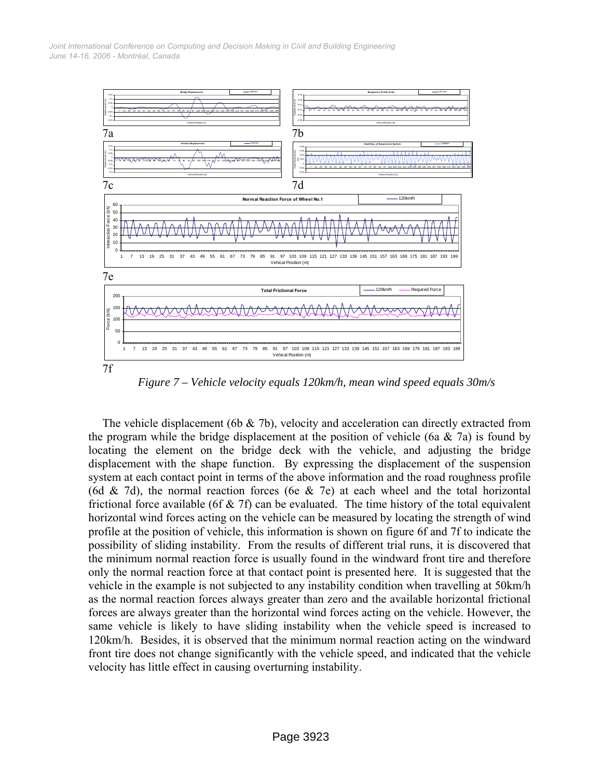*June 14-16, 2006 - Montréal, Canada Joint International Conference on Computing and Decision Making in Civil and Building Engineering*



*Figure 7 – Vehicle velocity equals 120km/h, mean wind speed equals 30m/s* 

The vehicle displacement (6b & 7b), velocity and acceleration can directly extracted from the program while the bridge displacement at the position of vehicle (6a  $\&$  7a) is found by locating the element on the bridge deck with the vehicle, and adjusting the bridge displacement with the shape function. By expressing the displacement of the suspension system at each contact point in terms of the above information and the road roughness profile (6d & 7d), the normal reaction forces (6e & 7e) at each wheel and the total horizontal frictional force available (6f  $\&$  7f) can be evaluated. The time history of the total equivalent horizontal wind forces acting on the vehicle can be measured by locating the strength of wind profile at the position of vehicle, this information is shown on figure 6f and 7f to indicate the possibility of sliding instability. From the results of different trial runs, it is discovered that the minimum normal reaction force is usually found in the windward front tire and therefore only the normal reaction force at that contact point is presented here. It is suggested that the vehicle in the example is not subjected to any instability condition when travelling at 50km/h as the normal reaction forces always greater than zero and the available horizontal frictional forces are always greater than the horizontal wind forces acting on the vehicle. However, the same vehicle is likely to have sliding instability when the vehicle speed is increased to 120km/h. Besides, it is observed that the minimum normal reaction acting on the windward front tire does not change significantly with the vehicle speed, and indicated that the vehicle velocity has little effect in causing overturning instability.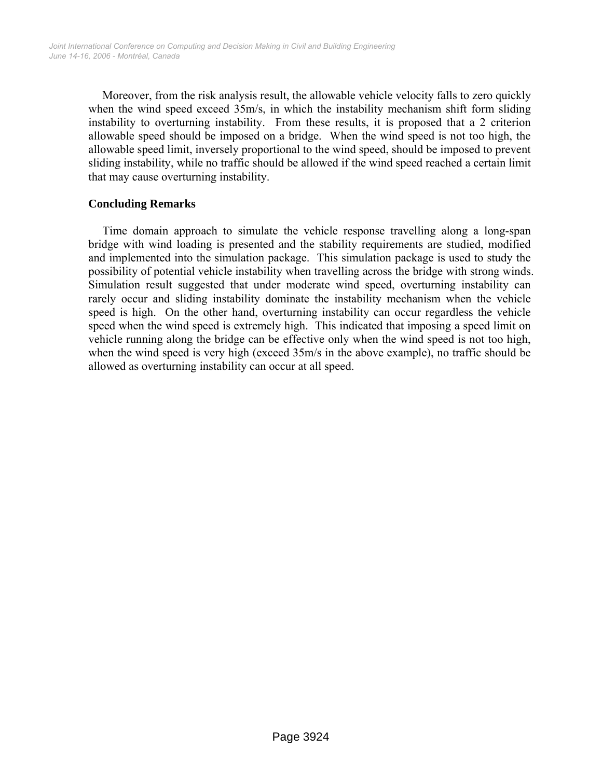Moreover, from the risk analysis result, the allowable vehicle velocity falls to zero quickly when the wind speed exceed 35m/s, in which the instability mechanism shift form sliding instability to overturning instability. From these results, it is proposed that a 2 criterion allowable speed should be imposed on a bridge. When the wind speed is not too high, the allowable speed limit, inversely proportional to the wind speed, should be imposed to prevent sliding instability, while no traffic should be allowed if the wind speed reached a certain limit that may cause overturning instability.

# **Concluding Remarks**

Time domain approach to simulate the vehicle response travelling along a long-span bridge with wind loading is presented and the stability requirements are studied, modified and implemented into the simulation package. This simulation package is used to study the possibility of potential vehicle instability when travelling across the bridge with strong winds. Simulation result suggested that under moderate wind speed, overturning instability can rarely occur and sliding instability dominate the instability mechanism when the vehicle speed is high. On the other hand, overturning instability can occur regardless the vehicle speed when the wind speed is extremely high. This indicated that imposing a speed limit on vehicle running along the bridge can be effective only when the wind speed is not too high, when the wind speed is very high (exceed 35m/s in the above example), no traffic should be allowed as overturning instability can occur at all speed.